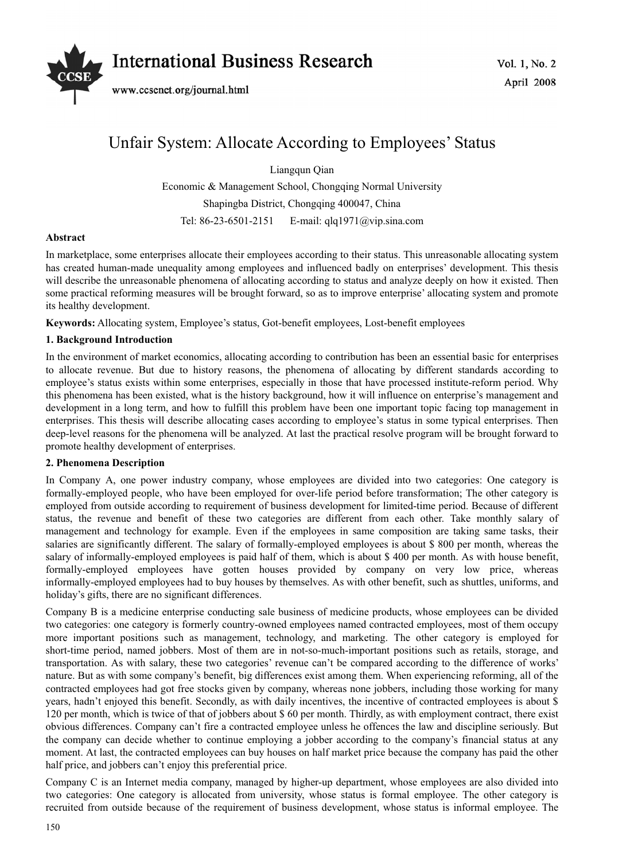

# Unfair System: Allocate According to Employees' Status

Liangqun Qian

Economic & Management School, Chongqing Normal University Shapingba District, Chongqing 400047, China Tel: 86-23-6501-2151 E-mail: qlq1971@vip.sina.com

### **Abstract**

In marketplace, some enterprises allocate their employees according to their status. This unreasonable allocating system has created human-made unequality among employees and influenced badly on enterprises' development. This thesis will describe the unreasonable phenomena of allocating according to status and analyze deeply on how it existed. Then some practical reforming measures will be brought forward, so as to improve enterprise' allocating system and promote its healthy development.

**Keywords:** Allocating system, Employee's status, Got-benefit employees, Lost-benefit employees

### **1. Background Introduction**

In the environment of market economics, allocating according to contribution has been an essential basic for enterprises to allocate revenue. But due to history reasons, the phenomena of allocating by different standards according to employee's status exists within some enterprises, especially in those that have processed institute-reform period. Why this phenomena has been existed, what is the history background, how it will influence on enterprise's management and development in a long term, and how to fulfill this problem have been one important topic facing top management in enterprises. This thesis will describe allocating cases according to employee's status in some typical enterprises. Then deep-level reasons for the phenomena will be analyzed. At last the practical resolve program will be brought forward to promote healthy development of enterprises.

# **2. Phenomena Description**

In Company A, one power industry company, whose employees are divided into two categories: One category is formally-employed people, who have been employed for over-life period before transformation; The other category is employed from outside according to requirement of business development for limited-time period. Because of different status, the revenue and benefit of these two categories are different from each other. Take monthly salary of management and technology for example. Even if the employees in same composition are taking same tasks, their salaries are significantly different. The salary of formally-employed employees is about \$ 800 per month, whereas the salary of informally-employed employees is paid half of them, which is about \$ 400 per month. As with house benefit, formally-employed employees have gotten houses provided by company on very low price, whereas informally-employed employees had to buy houses by themselves. As with other benefit, such as shuttles, uniforms, and holiday's gifts, there are no significant differences.

Company B is a medicine enterprise conducting sale business of medicine products, whose employees can be divided two categories: one category is formerly country-owned employees named contracted employees, most of them occupy more important positions such as management, technology, and marketing. The other category is employed for short-time period, named jobbers. Most of them are in not-so-much-important positions such as retails, storage, and transportation. As with salary, these two categories' revenue can't be compared according to the difference of works' nature. But as with some company's benefit, big differences exist among them. When experiencing reforming, all of the contracted employees had got free stocks given by company, whereas none jobbers, including those working for many years, hadn't enjoyed this benefit. Secondly, as with daily incentives, the incentive of contracted employees is about \$ 120 per month, which is twice of that of jobbers about \$ 60 per month. Thirdly, as with employment contract, there exist obvious differences. Company can't fire a contracted employee unless he offences the law and discipline seriously. But the company can decide whether to continue employing a jobber according to the company's financial status at any moment. At last, the contracted employees can buy houses on half market price because the company has paid the other half price, and jobbers can't enjoy this preferential price.

Company C is an Internet media company, managed by higher-up department, whose employees are also divided into two categories: One category is allocated from university, whose status is formal employee. The other category is recruited from outside because of the requirement of business development, whose status is informal employee. The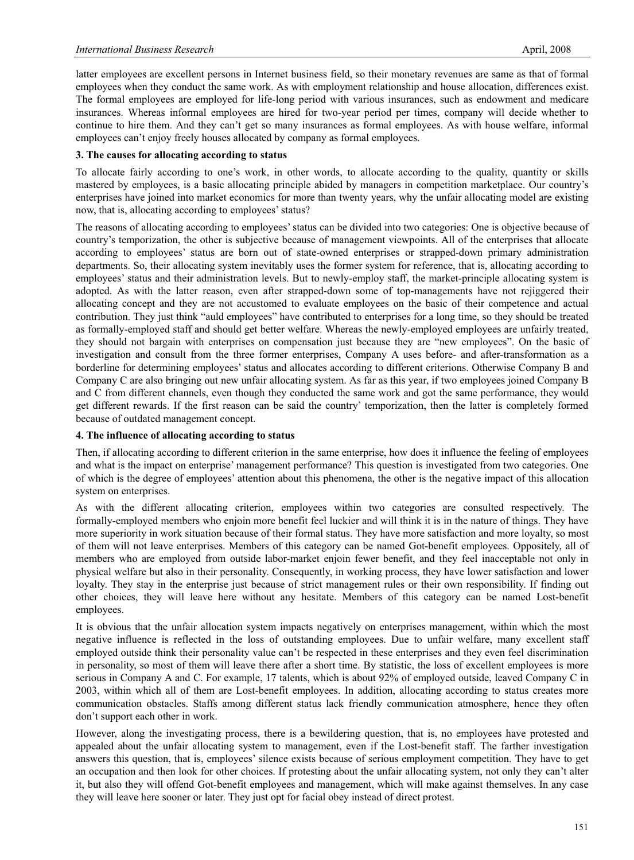latter employees are excellent persons in Internet business field, so their monetary revenues are same as that of formal employees when they conduct the same work. As with employment relationship and house allocation, differences exist. The formal employees are employed for life-long period with various insurances, such as endowment and medicare insurances. Whereas informal employees are hired for two-year period per times, company will decide whether to continue to hire them. And they can't get so many insurances as formal employees. As with house welfare, informal employees can't enjoy freely houses allocated by company as formal employees.

# **3. The causes for allocating according to status**

To allocate fairly according to one's work, in other words, to allocate according to the quality, quantity or skills mastered by employees, is a basic allocating principle abided by managers in competition marketplace. Our country's enterprises have joined into market economics for more than twenty years, why the unfair allocating model are existing now, that is, allocating according to employees' status?

The reasons of allocating according to employees' status can be divided into two categories: One is objective because of country's temporization, the other is subjective because of management viewpoints. All of the enterprises that allocate according to employees' status are born out of state-owned enterprises or strapped-down primary administration departments. So, their allocating system inevitably uses the former system for reference, that is, allocating according to employees' status and their administration levels. But to newly-employ staff, the market-principle allocating system is adopted. As with the latter reason, even after strapped-down some of top-managements have not rejiggered their allocating concept and they are not accustomed to evaluate employees on the basic of their competence and actual contribution. They just think "auld employees" have contributed to enterprises for a long time, so they should be treated as formally-employed staff and should get better welfare. Whereas the newly-employed employees are unfairly treated, they should not bargain with enterprises on compensation just because they are "new employees". On the basic of investigation and consult from the three former enterprises, Company A uses before- and after-transformation as a borderline for determining employees' status and allocates according to different criterions. Otherwise Company B and Company C are also bringing out new unfair allocating system. As far as this year, if two employees joined Company B and C from different channels, even though they conducted the same work and got the same performance, they would get different rewards. If the first reason can be said the country' temporization, then the latter is completely formed because of outdated management concept.

# **4. The influence of allocating according to status**

Then, if allocating according to different criterion in the same enterprise, how does it influence the feeling of employees and what is the impact on enterprise' management performance? This question is investigated from two categories. One of which is the degree of employees' attention about this phenomena, the other is the negative impact of this allocation system on enterprises.

As with the different allocating criterion, employees within two categories are consulted respectively. The formally-employed members who enjoin more benefit feel luckier and will think it is in the nature of things. They have more superiority in work situation because of their formal status. They have more satisfaction and more loyalty, so most of them will not leave enterprises. Members of this category can be named Got-benefit employees. Oppositely, all of members who are employed from outside labor-market enjoin fewer benefit, and they feel inacceptable not only in physical welfare but also in their personality. Consequently, in working process, they have lower satisfaction and lower loyalty. They stay in the enterprise just because of strict management rules or their own responsibility. If finding out other choices, they will leave here without any hesitate. Members of this category can be named Lost-benefit employees.

It is obvious that the unfair allocation system impacts negatively on enterprises management, within which the most negative influence is reflected in the loss of outstanding employees. Due to unfair welfare, many excellent staff employed outside think their personality value can't be respected in these enterprises and they even feel discrimination in personality, so most of them will leave there after a short time. By statistic, the loss of excellent employees is more serious in Company A and C. For example, 17 talents, which is about 92% of employed outside, leaved Company C in 2003, within which all of them are Lost-benefit employees. In addition, allocating according to status creates more communication obstacles. Staffs among different status lack friendly communication atmosphere, hence they often don't support each other in work.

However, along the investigating process, there is a bewildering question, that is, no employees have protested and appealed about the unfair allocating system to management, even if the Lost-benefit staff. The farther investigation answers this question, that is, employees' silence exists because of serious employment competition. They have to get an occupation and then look for other choices. If protesting about the unfair allocating system, not only they can't alter it, but also they will offend Got-benefit employees and management, which will make against themselves. In any case they will leave here sooner or later. They just opt for facial obey instead of direct protest.